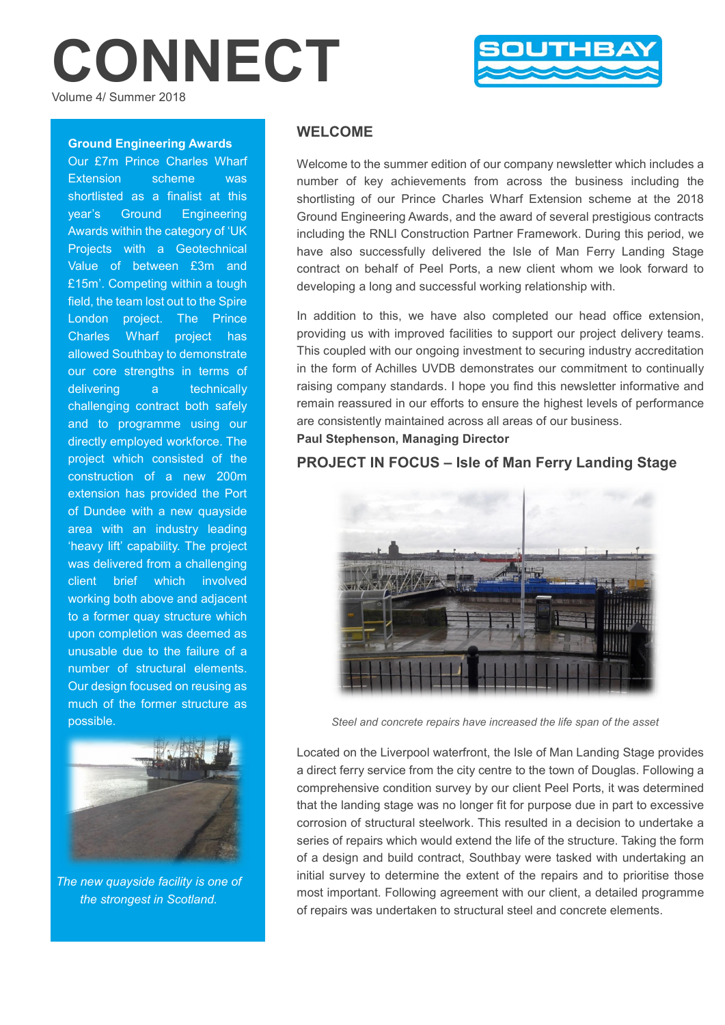# CONNECT Volume 4/ Summer 2018



#### Ground Engineering Awards

Our £7m Prince Charles Wharf Extension scheme was shortlisted as a finalist at this year's Ground Engineering Awards within the category of 'UK Projects with a Geotechnical Value of between £3m and £15m'. Competing within a tough field, the team lost out to the Spire London project. The Prince Charles Wharf project has allowed Southbay to demonstrate our core strengths in terms of delivering a technically challenging contract both safely and to programme using our directly employed workforce. The project which consisted of the construction of a new 200m extension has provided the Port of Dundee with a new quayside area with an industry leading 'heavy lift' capability. The project was delivered from a challenging client brief which involved working both above and adjacent to a former quay structure which upon completion was deemed as unusable due to the failure of a number of structural elements. Our design focused on reusing as much of the former structure as possible.



*The new quayside facility is one of the strongest in Scotland.*

# WELCOME

Welcome to the summer edition of our company newsletter which includes a number of key achievements from across the business including the shortlisting of our Prince Charles Wharf Extension scheme at the 2018 Ground Engineering Awards, and the award of several prestigious contracts including the RNLI Construction Partner Framework. During this period, we have also successfully delivered the Isle of Man Ferry Landing Stage contract on behalf of Peel Ports, a new client whom we look forward to developing a long and successful working relationship with.

In addition to this, we have also completed our head office extension, providing us with improved facilities to support our project delivery teams. This coupled with our ongoing investment to securing industry accreditation in the form of Achilles UVDB demonstrates our commitment to continually raising company standards. I hope you find this newsletter informative and remain reassured in our efforts to ensure the highest levels of performance are consistently maintained across all areas of our business. Paul Stephenson, Managing Director

## PROJECT IN FOCUS – Isle of Man Ferry Landing Stage

*Steel and concrete repairs have increased the life span of the asset*

Located on the Liverpool waterfront, the Isle of Man Landing Stage provides a direct ferry service from the city centre to the town of Douglas. Following a comprehensive condition survey by our client Peel Ports, it was determined that the landing stage was no longer fit for purpose due in part to excessive corrosion of structural steelwork. This resulted in a decision to undertake a series of repairs which would extend the life of the structure. Taking the form of a design and build contract, Southbay were tasked with undertaking an initial survey to determine the extent of the repairs and to prioritise those most important. Following agreement with our client, a detailed programme of repairs was undertaken to structural steel and concrete elements.